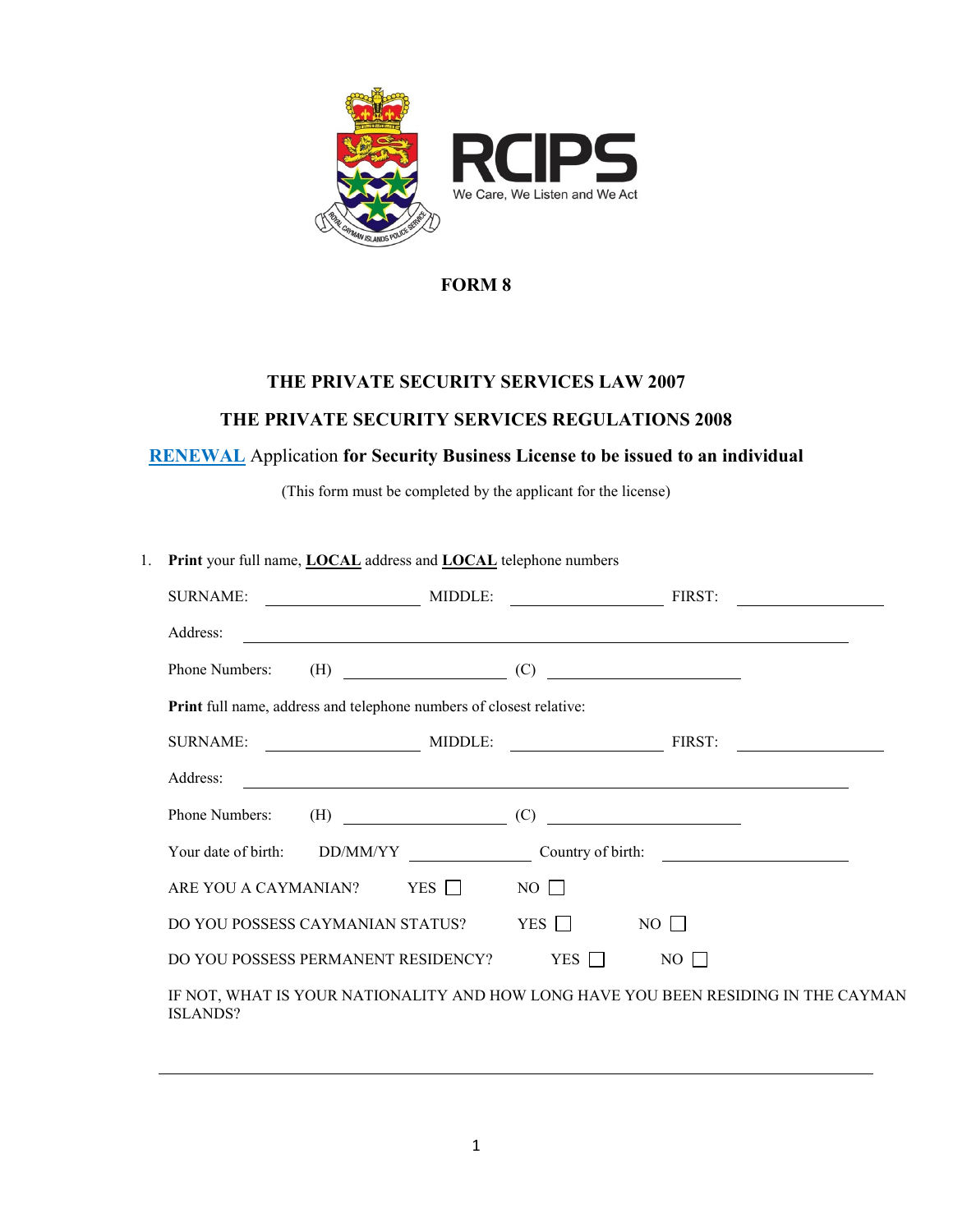

## **THE PRIVATE SECURITY SERVICES LAW 2007**

### **THE PRIVATE SECURITY SERVICES REGULATIONS 2008**

## **RENEWAL** Application **for Security Business License to be issued to an individual**

(This form must be completed by the applicant for the license)

| 1. | Print your full name, <b>LOCAL</b> address and <b>LOCAL</b> telephone numbers                         |  |                                                                                                                       |             |  |
|----|-------------------------------------------------------------------------------------------------------|--|-----------------------------------------------------------------------------------------------------------------------|-------------|--|
|    | SURNAME: MIDDLE: FIRST:                                                                               |  |                                                                                                                       |             |  |
|    | Address:                                                                                              |  | <u> 1989 - Johann Stoff, deutscher Stoff, der Stoff, der Stoff, der Stoff, der Stoff, der Stoff, der Stoff, der S</u> |             |  |
|    | Phone Numbers: $(H)$ (C)                                                                              |  |                                                                                                                       |             |  |
|    | Print full name, address and telephone numbers of closest relative:                                   |  |                                                                                                                       |             |  |
|    |                                                                                                       |  |                                                                                                                       |             |  |
|    |                                                                                                       |  |                                                                                                                       |             |  |
|    | Phone Numbers: $(H)$ (C)                                                                              |  |                                                                                                                       |             |  |
|    |                                                                                                       |  |                                                                                                                       |             |  |
|    | ARE YOU A CAYMANIAN? YES $\Box$ NO $\Box$                                                             |  |                                                                                                                       |             |  |
|    | DO YOU POSSESS CAYMANIAN STATUS? YES □                                                                |  |                                                                                                                       | $NO$ $\Box$ |  |
|    | DO YOU POSSESS PERMANENT RESIDENCY? YES $\Box$ NO $\Box$                                              |  |                                                                                                                       |             |  |
|    | IF NOT, WHAT IS YOUR NATIONALITY AND HOW LONG HAVE YOU BEEN RESIDING IN THE CAYMAN<br><b>ISLANDS?</b> |  |                                                                                                                       |             |  |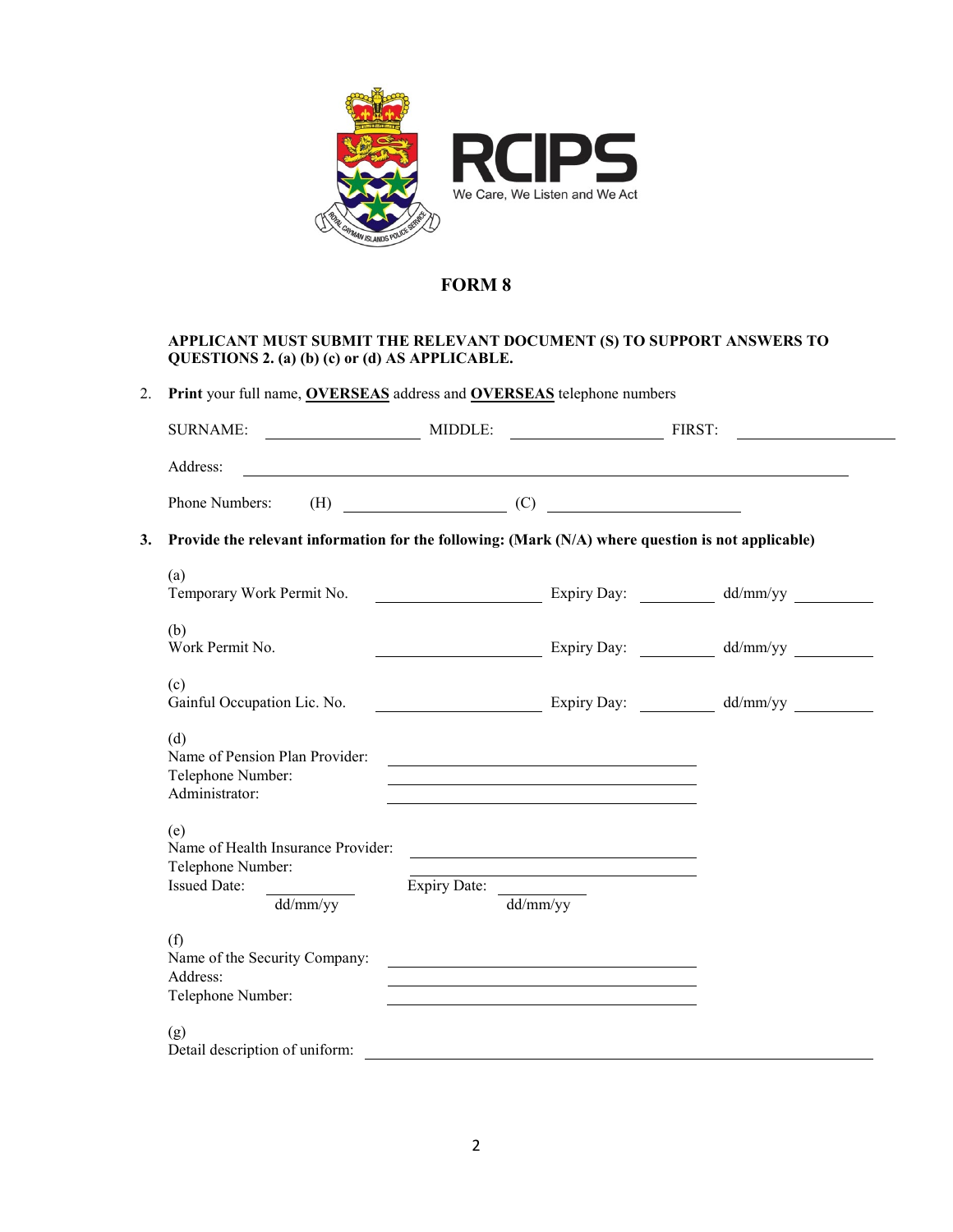

#### **APPLICANT MUST SUBMIT THE RELEVANT DOCUMENT (S) TO SUPPORT ANSWERS TO QUESTIONS 2. (a) (b) (c) or (d) AS APPLICABLE.**

| Address:                                                                                                  |                                                                                                                                                                                                                                |                                                                                                                      |  |
|-----------------------------------------------------------------------------------------------------------|--------------------------------------------------------------------------------------------------------------------------------------------------------------------------------------------------------------------------------|----------------------------------------------------------------------------------------------------------------------|--|
| Phone Numbers:                                                                                            | $(H)$ (E) (C) and the contract of the contract of the contract of the contract of the contract of the contract of the contract of the contract of the contract of the contract of the contract of the contract of the contract |                                                                                                                      |  |
| 3.<br>Provide the relevant information for the following: (Mark $(N/A)$ where question is not applicable) |                                                                                                                                                                                                                                |                                                                                                                      |  |
| (a)                                                                                                       |                                                                                                                                                                                                                                |                                                                                                                      |  |
| (b)<br>Work Permit No.                                                                                    |                                                                                                                                                                                                                                | Expiry Day: dd/mm/yy                                                                                                 |  |
| (c)<br>Gainful Occupation Lic. No.                                                                        |                                                                                                                                                                                                                                |                                                                                                                      |  |
| (d)<br>Name of Pension Plan Provider:<br>Telephone Number:<br>Administrator:                              |                                                                                                                                                                                                                                |                                                                                                                      |  |
| (e)<br>Name of Health Insurance Provider:<br>Telephone Number:<br><b>Issued Date:</b>                     |                                                                                                                                                                                                                                | <u> Alexandria de la contrada de la contrada de la contrada de la contrada de la contrada de la contrada de la c</u> |  |
| $\frac{d \frac{d}{m}}{y}$                                                                                 | Expiry Date: $\frac{d}{d}$                                                                                                                                                                                                     |                                                                                                                      |  |
| (f)<br>Name of the Security Company:<br>Address:<br>Telephone Number:                                     |                                                                                                                                                                                                                                |                                                                                                                      |  |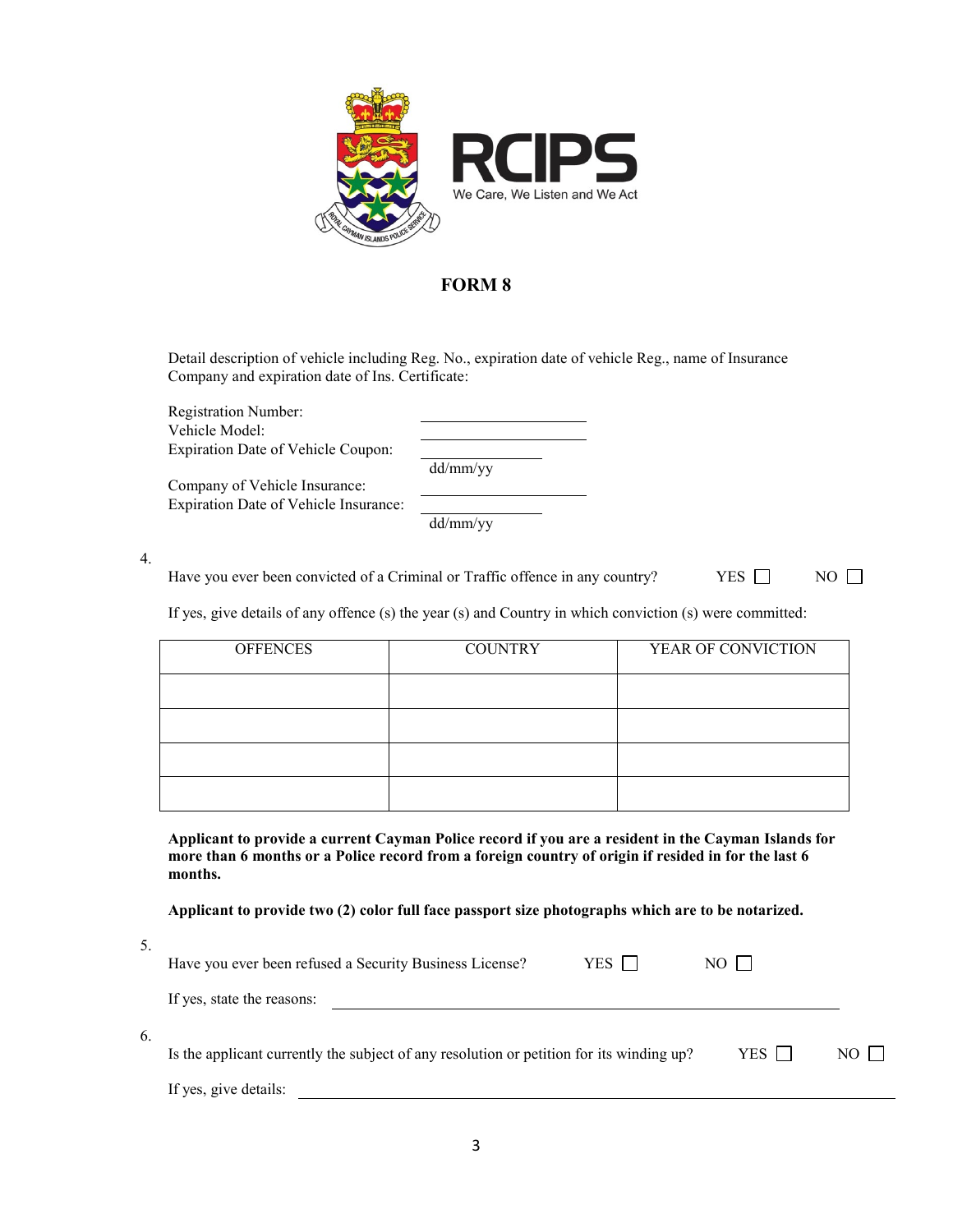

Detail description of vehicle including Reg. No., expiration date of vehicle Reg., name of Insurance Company and expiration date of Ins. Certificate:

Registration Number: Vehicle Model: Expiration Date of Vehicle Coupon:

dd/mm/yy

Company of Vehicle Insurance: Expiration Date of Vehicle Insurance:

dd/mm/yy

4.

Have you ever been convicted of a Criminal or Traffic offence in any country?  $YES \Box$  NO  $\square$ 

If yes, give details of any offence (s) the year (s) and Country in which conviction (s) were committed:

| <b>OFFENCES</b> | <b>COUNTRY</b> | YEAR OF CONVICTION |
|-----------------|----------------|--------------------|
|                 |                |                    |
|                 |                |                    |
|                 |                |                    |
|                 |                |                    |

**Applicant to provide a current Cayman Police record if you are a resident in the Cayman Islands for more than 6 months or a Police record from a foreign country of origin if resided in for the last 6 months.**

**Applicant to provide two (2) color full face passport size photographs which are to be notarized.**

| ۰                   |  |
|---------------------|--|
| n sa<br>٥           |  |
| ۰,<br>۰.<br>۰,<br>٧ |  |

6.

| Have you ever been refused a Security Business License?                                  | YES | NO           |           |
|------------------------------------------------------------------------------------------|-----|--------------|-----------|
| If yes, state the reasons:                                                               |     |              |           |
| Is the applicant currently the subject of any resolution or petition for its winding up? |     | $YES$ $\Box$ | $NO \Box$ |
| If yes, give details:                                                                    |     |              |           |